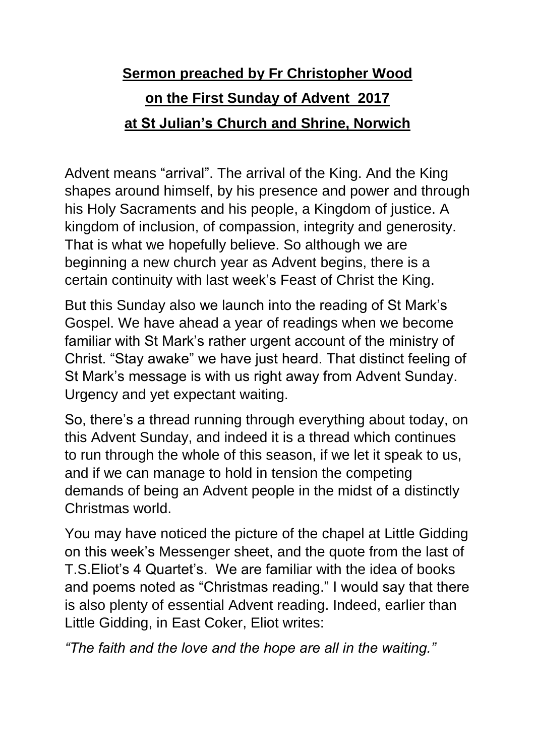## **Sermon preached by Fr Christopher Wood on the First Sunday of Advent 2017 at St Julian's Church and Shrine, Norwich**

Advent means "arrival". The arrival of the King. And the King shapes around himself, by his presence and power and through his Holy Sacraments and his people, a Kingdom of justice. A kingdom of inclusion, of compassion, integrity and generosity. That is what we hopefully believe. So although we are beginning a new church year as Advent begins, there is a certain continuity with last week's Feast of Christ the King.

But this Sunday also we launch into the reading of St Mark's Gospel. We have ahead a year of readings when we become familiar with St Mark's rather urgent account of the ministry of Christ. "Stay awake" we have just heard. That distinct feeling of St Mark's message is with us right away from Advent Sunday. Urgency and yet expectant waiting.

So, there's a thread running through everything about today, on this Advent Sunday, and indeed it is a thread which continues to run through the whole of this season, if we let it speak to us, and if we can manage to hold in tension the competing demands of being an Advent people in the midst of a distinctly Christmas world.

You may have noticed the picture of the chapel at Little Gidding on this week's Messenger sheet, and the quote from the last of T.S.Eliot's 4 Quartet's. We are familiar with the idea of books and poems noted as "Christmas reading." I would say that there is also plenty of essential Advent reading. Indeed, earlier than Little Gidding, in East Coker, Eliot writes:

*"The faith and the love and the hope are all in the waiting."*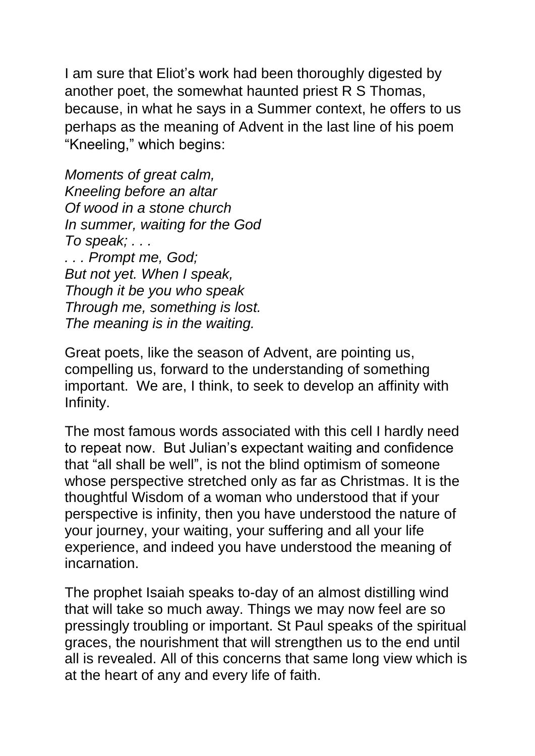I am sure that Eliot's work had been thoroughly digested by another poet, the somewhat haunted priest R S Thomas, because, in what he says in a Summer context, he offers to us perhaps as the meaning of Advent in the last line of his poem "Kneeling," which begins:

*Moments of great calm, Kneeling before an altar Of wood in a stone church In summer, waiting for the God To speak; . . . . . . Prompt me, God; But not yet. When I speak, Though it be you who speak Through me, something is lost. The meaning is in the waiting.*

Great poets, like the season of Advent, are pointing us, compelling us, forward to the understanding of something important. We are, I think, to seek to develop an affinity with Infinity.

The most famous words associated with this cell I hardly need to repeat now. But Julian's expectant waiting and confidence that "all shall be well", is not the blind optimism of someone whose perspective stretched only as far as Christmas. It is the thoughtful Wisdom of a woman who understood that if your perspective is infinity, then you have understood the nature of your journey, your waiting, your suffering and all your life experience, and indeed you have understood the meaning of incarnation.

The prophet Isaiah speaks to-day of an almost distilling wind that will take so much away. Things we may now feel are so pressingly troubling or important. St Paul speaks of the spiritual graces, the nourishment that will strengthen us to the end until all is revealed. All of this concerns that same long view which is at the heart of any and every life of faith.